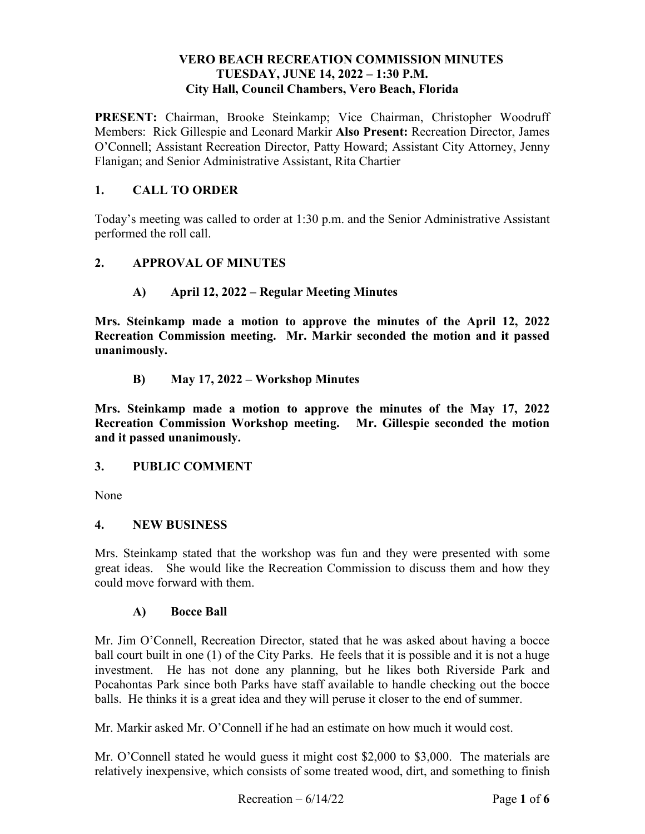### **VERO BEACH RECREATION COMMISSION MINUTES TUESDAY, JUNE 14, 2022 – 1:30 P.M. City Hall, Council Chambers, Vero Beach, Florida**

**PRESENT:** Chairman, Brooke Steinkamp; Vice Chairman, Christopher Woodruff Members: Rick Gillespie and Leonard Markir **Also Present:** Recreation Director, James O'Connell; Assistant Recreation Director, Patty Howard; Assistant City Attorney, Jenny Flanigan; and Senior Administrative Assistant, Rita Chartier

### **1. CALL TO ORDER**

Today's meeting was called to order at 1:30 p.m. and the Senior Administrative Assistant performed the roll call.

### **2. APPROVAL OF MINUTES**

### **A) April 12, 2022 – Regular Meeting Minutes**

 **Recreation Commission meeting. Mr. Markir seconded the motion and it passed Mrs. Steinkamp made a motion to approve the minutes of the April 12, 2022 unanimously.** 

**B) May 17, 2022 – Workshop Minutes** 

**Mrs. Steinkamp made a motion to approve the minutes of the May 17, 2022 Recreation Commission Workshop meeting. Mr. Gillespie seconded the motion and it passed unanimously.** 

### **3. PUBLIC COMMENT**

None

### **4. NEW BUSINESS**

 great ideas. She would like the Recreation Commission to discuss them and how they Mrs. Steinkamp stated that the workshop was fun and they were presented with some could move forward with them.

### **A) Bocce Ball**

 Mr. Jim O'Connell, Recreation Director, stated that he was asked about having a bocce Pocahontas Park since both Parks have staff available to handle checking out the bocce balls. He thinks it is a great idea and they will peruse it closer to the end of summer. ball court built in one (1) of the City Parks. He feels that it is possible and it is not a huge investment. He has not done any planning, but he likes both Riverside Park and

Mr. Markir asked Mr. O'Connell if he had an estimate on how much it would cost.

 relatively inexpensive, which consists of some treated wood, dirt, and something to finish Mr. O'Connell stated he would guess it might cost \$2,000 to \$3,000. The materials are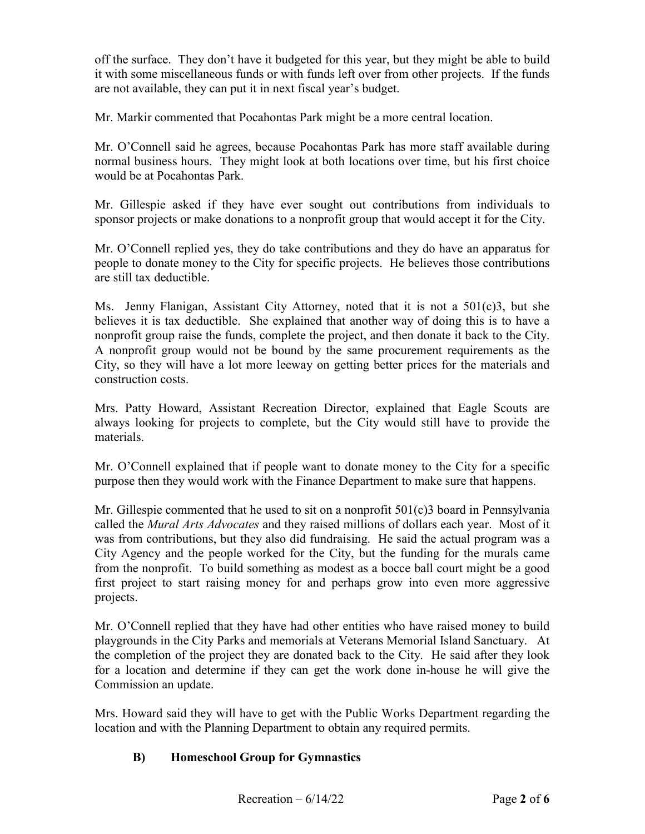off the surface. They don't have it budgeted for this year, but they might be able to build it with some miscellaneous funds or with funds left over from other projects. If the funds are not available, they can put it in next fiscal year's budget.

Mr. Markir commented that Pocahontas Park might be a more central location.

 normal business hours. They might look at both locations over time, but his first choice Mr. O'Connell said he agrees, because Pocahontas Park has more staff available during would be at Pocahontas Park.

Mr. Gillespie asked if they have ever sought out contributions from individuals to sponsor projects or make donations to a nonprofit group that would accept it for the City.

Mr. O'Connell replied yes, they do take contributions and they do have an apparatus for people to donate money to the City for specific projects. He believes those contributions are still tax deductible.

 Ms. Jenny Flanigan, Assistant City Attorney, noted that it is not a 501(c)3, but she City, so they will have a lot more leeway on getting better prices for the materials and construction costs. believes it is tax deductible. She explained that another way of doing this is to have a nonprofit group raise the funds, complete the project, and then donate it back to the City. A nonprofit group would not be bound by the same procurement requirements as the

Mrs. Patty Howard, Assistant Recreation Director, explained that Eagle Scouts are always looking for projects to complete, but the City would still have to provide the materials.

Mr. O'Connell explained that if people want to donate money to the City for a specific purpose then they would work with the Finance Department to make sure that happens.

 called the *Mural Arts Advocates* and they raised millions of dollars each year. Most of it from the nonprofit. To build something as modest as a bocce ball court might be a good Mr. Gillespie commented that he used to sit on a nonprofit  $501(c)3$  board in Pennsylvania was from contributions, but they also did fundraising. He said the actual program was a City Agency and the people worked for the City, but the funding for the murals came first project to start raising money for and perhaps grow into even more aggressive projects.

 playgrounds in the City Parks and memorials at Veterans Memorial Island Sanctuary. At for a location and determine if they can get the work done in-house he will give the Mr. O'Connell replied that they have had other entities who have raised money to build the completion of the project they are donated back to the City. He said after they look Commission an update.

 Mrs. Howard said they will have to get with the Public Works Department regarding the location and with the Planning Department to obtain any required permits.

## **B) Homeschool Group for Gymnastics**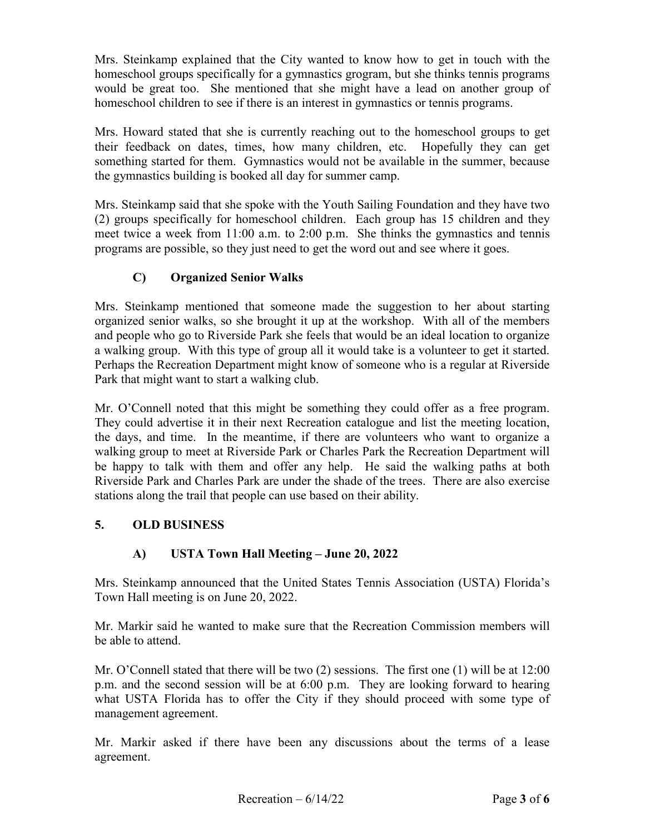homeschool groups specifically for a gymnastics grogram, but she thinks tennis programs homeschool children to see if there is an interest in gymnastics or tennis programs. Mrs. Steinkamp explained that the City wanted to know how to get in touch with the would be great too. She mentioned that she might have a lead on another group of

 their feedback on dates, times, how many children, etc. Hopefully they can get the gymnastics building is booked all day for summer camp. Mrs. Howard stated that she is currently reaching out to the homeschool groups to get something started for them. Gymnastics would not be available in the summer, because

 (2) groups specifically for homeschool children. Each group has 15 children and they Mrs. Steinkamp said that she spoke with the Youth Sailing Foundation and they have two meet twice a week from 11:00 a.m. to 2:00 p.m. She thinks the gymnastics and tennis programs are possible, so they just need to get the word out and see where it goes.

# **C) Organized Senior Walks**

a walking group. With this type of group all it would take is a volunteer to get it started. Mrs. Steinkamp mentioned that someone made the suggestion to her about starting organized senior walks, so she brought it up at the workshop. With all of the members and people who go to Riverside Park she feels that would be an ideal location to organize Perhaps the Recreation Department might know of someone who is a regular at Riverside. Park that might want to start a walking club.

 They could advertise it in their next Recreation catalogue and list the meeting location, the days, and time. In the meantime, if there are volunteers who want to organize a be happy to talk with them and offer any help. He said the walking paths at both Riverside Park and Charles Park are under the shade of the trees. There are also exercise stations along the trail that people can use based on their ability. Mr. O'Connell noted that this might be something they could offer as a free program. walking group to meet at Riverside Park or Charles Park the Recreation Department will

## **5. OLD BUSINESS**

## **A) USTA Town Hall Meeting – June 20, 2022**

 Mrs. Steinkamp announced that the United States Tennis Association (USTA) Florida's Town Hall meeting is on June 20, 2022.

Mr. Markir said he wanted to make sure that the Recreation Commission members will be able to attend.

 Mr. O'Connell stated that there will be two (2) sessions. The first one (1) will be at 12:00 management agreement. p.m. and the second session will be at 6:00 p.m. They are looking forward to hearing what USTA Florida has to offer the City if they should proceed with some type of

management agreement.<br>Mr. Markir asked if there have been any discussions about the terms of a lease agreement.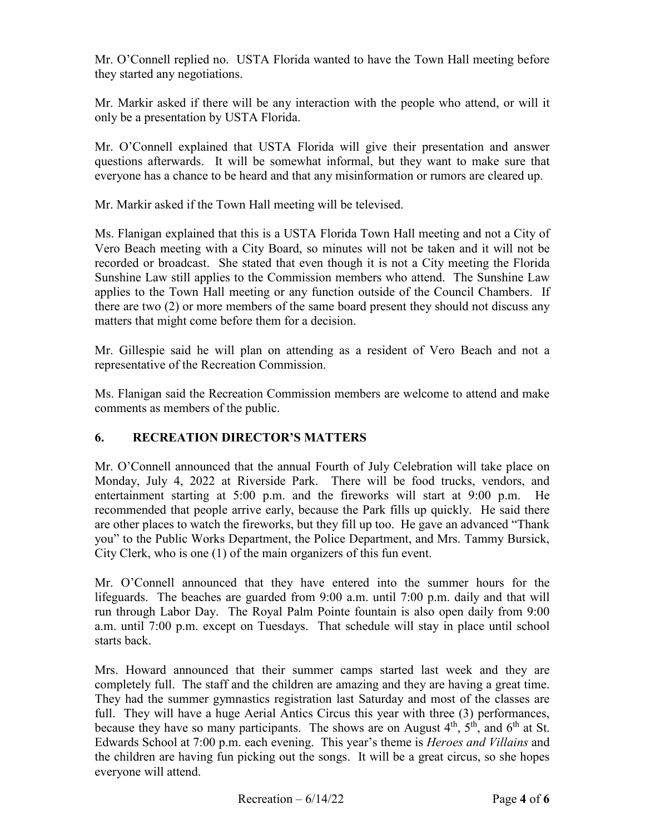Mr. O'Connell replied no. USTA Florida wanted to have the Town Hall meeting before they started any negotiations.

 only be a presentation by USTA Florida. Mr. Markir asked if there will be any interaction with the people who attend, or will it

Mr. O'Connell explained that USTA Florida will give their presentation and answer questions afterwards. It will be somewhat informal, but they want to make sure that everyone has a chance to be heard and that any misinformation or rumors are cleared up.

Mr. Markir asked if the Town Hall meeting will be televised.

 Sunshine Law still applies to the Commission members who attend. The Sunshine Law Ms. Flanigan explained that this is a USTA Florida Town Hall meeting and not a City of Vero Beach meeting with a City Board, so minutes will not be taken and it will not be recorded or broadcast. She stated that even though it is not a City meeting the Florida applies to the Town Hall meeting or any function outside of the Council Chambers. If there are two (2) or more members of the same board present they should not discuss any matters that might come before them for a decision.

 Mr. Gillespie said he will plan on attending as a resident of Vero Beach and not a representative of the Recreation Commission.

 comments as members of the public. Ms. Flanigan said the Recreation Commission members are welcome to attend and make

## **6. RECREATION DIRECTOR'S MATTERS**

 are other places to watch the fireworks, but they fill up too. He gave an advanced "Thank Mr. O'Connell announced that the annual Fourth of July Celebration will take place on Monday, July 4, 2022 at Riverside Park. There will be food trucks, vendors, and entertainment starting at 5:00 p.m. and the fireworks will start at 9:00 p.m. He recommended that people arrive early, because the Park fills up quickly. He said there you" to the Public Works Department, the Police Department, and Mrs. Tammy Bursick, City Clerk, who is one (1) of the main organizers of this fun event.

 Mr. O'Connell announced that they have entered into the summer hours for the lifeguards. The beaches are guarded from 9:00 a.m. until 7:00 p.m. daily and that will run through Labor Day. The Royal Palm Pointe fountain is also open daily from 9:00 starts back. a.m. until 7:00 p.m. except on Tuesdays. That schedule will stay in place until school

 Edwards School at 7:00 p.m. each evening. This year's theme is *Heroes and Villains* and the children are having fun picking out the songs. It will be a great circus, so she hopes everyone will attend. Mrs. Howard announced that their summer camps started last week and they are completely full. The staff and the children are amazing and they are having a great time. They had the summer gymnastics registration last Saturday and most of the classes are full. They will have a huge Aerial Antics Circus this year with three (3) performances, because they have so many participants. The shows are on August  $4<sup>th</sup>$ ,  $5<sup>th</sup>$ , and  $6<sup>th</sup>$  at St.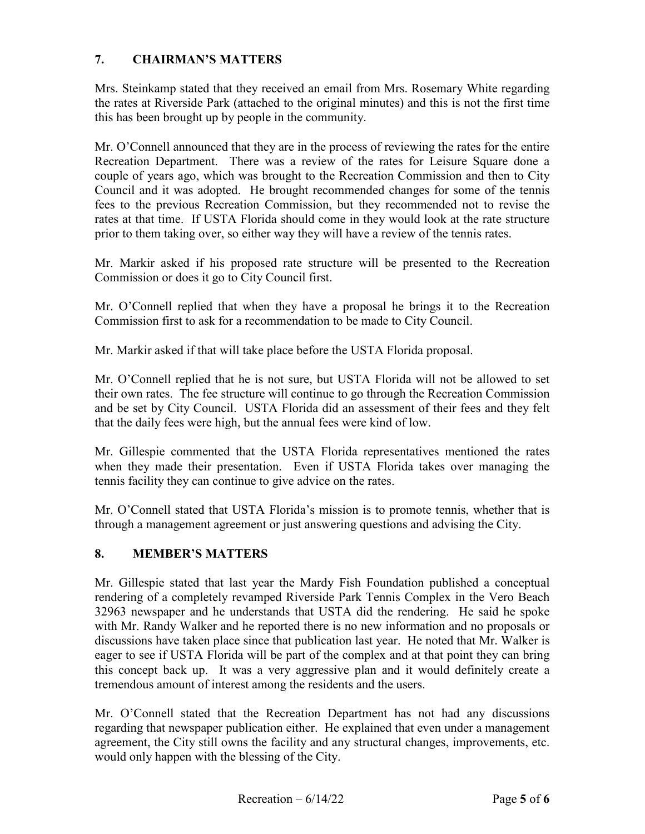### **7. CHAIRMAN'S MATTERS**

 Mrs. Steinkamp stated that they received an email from Mrs. Rosemary White regarding the rates at Riverside Park (attached to the original minutes) and this is not the first time this has been brought up by people in the community.

 Mr. O'Connell announced that they are in the process of reviewing the rates for the entire Recreation Department. There was a review of the rates for Leisure Square done a Council and it was adopted. He brought recommended changes for some of the tennis rates at that time. If USTA Florida should come in they would look at the rate structure prior to them taking over, so either way they will have a review of the tennis rates. couple of years ago, which was brought to the Recreation Commission and then to City fees to the previous Recreation Commission, but they recommended not to revise the

Mr. Markir asked if his proposed rate structure will be presented to the Recreation Commission or does it go to City Council first.

 Mr. O'Connell replied that when they have a proposal he brings it to the Recreation Commission first to ask for a recommendation to be made to City Council.

Mr. Markir asked if that will take place before the USTA Florida proposal.

 Mr. O'Connell replied that he is not sure, but USTA Florida will not be allowed to set and be set by City Council. USTA Florida did an assessment of their fees and they felt that the daily fees were high, but the annual fees were kind of low. their own rates. The fee structure will continue to go through the Recreation Commission

Mr. Gillespie commented that the USTA Florida representatives mentioned the rates when they made their presentation. Even if USTA Florida takes over managing the tennis facility they can continue to give advice on the rates.

 Mr. O'Connell stated that USTA Florida's mission is to promote tennis, whether that is through a management agreement or just answering questions and advising the City.

## **8. MEMBER'S MATTERS**

 rendering of a completely revamped Riverside Park Tennis Complex in the Vero Beach tremendous amount of interest among the residents and the users. Mr. Gillespie stated that last year the Mardy Fish Foundation published a conceptual 32963 newspaper and he understands that USTA did the rendering. He said he spoke with Mr. Randy Walker and he reported there is no new information and no proposals or discussions have taken place since that publication last year. He noted that Mr. Walker is eager to see if USTA Florida will be part of the complex and at that point they can bring this concept back up. It was a very aggressive plan and it would definitely create a

Mr. O'Connell stated that the Recreation Department has not had any discussions. regarding that newspaper publication either. He explained that even under a management agreement, the City still owns the facility and any structural changes, improvements, etc. would only happen with the blessing of the City.